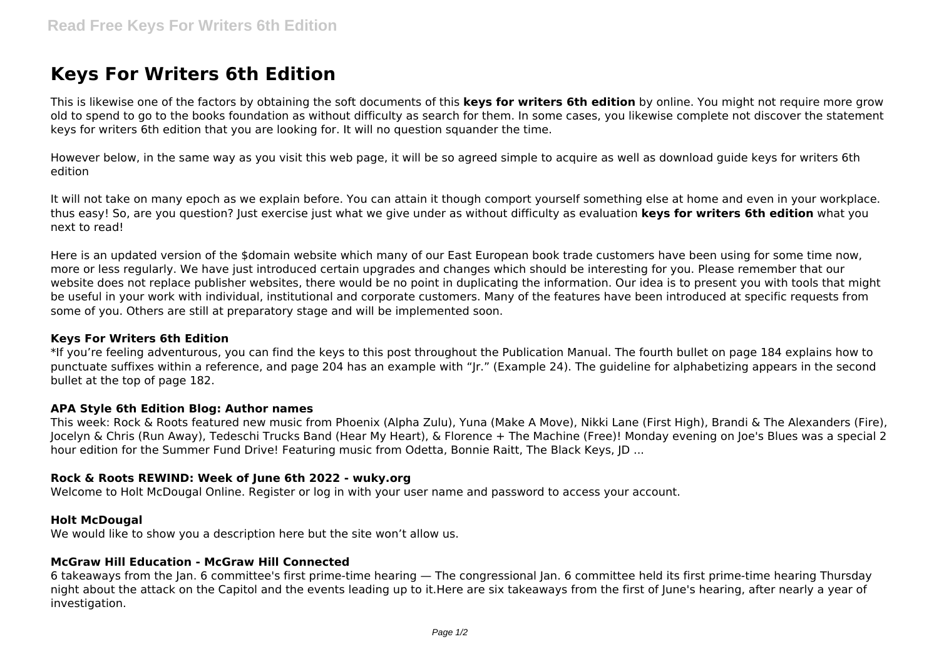# **Keys For Writers 6th Edition**

This is likewise one of the factors by obtaining the soft documents of this **keys for writers 6th edition** by online. You might not require more grow old to spend to go to the books foundation as without difficulty as search for them. In some cases, you likewise complete not discover the statement keys for writers 6th edition that you are looking for. It will no question squander the time.

However below, in the same way as you visit this web page, it will be so agreed simple to acquire as well as download guide keys for writers 6th edition

It will not take on many epoch as we explain before. You can attain it though comport yourself something else at home and even in your workplace. thus easy! So, are you question? Just exercise just what we give under as without difficulty as evaluation **keys for writers 6th edition** what you next to read!

Here is an updated version of the \$domain website which many of our East European book trade customers have been using for some time now, more or less regularly. We have just introduced certain upgrades and changes which should be interesting for you. Please remember that our website does not replace publisher websites, there would be no point in duplicating the information. Our idea is to present you with tools that might be useful in your work with individual, institutional and corporate customers. Many of the features have been introduced at specific requests from some of you. Others are still at preparatory stage and will be implemented soon.

# **Keys For Writers 6th Edition**

\*If you're feeling adventurous, you can find the keys to this post throughout the Publication Manual. The fourth bullet on page 184 explains how to punctuate suffixes within a reference, and page 204 has an example with "Jr." (Example 24). The guideline for alphabetizing appears in the second bullet at the top of page 182.

#### **APA Style 6th Edition Blog: Author names**

This week: Rock & Roots featured new music from Phoenix (Alpha Zulu), Yuna (Make A Move), Nikki Lane (First High), Brandi & The Alexanders (Fire), Jocelyn & Chris (Run Away), Tedeschi Trucks Band (Hear My Heart), & Florence + The Machine (Free)! Monday evening on Joe's Blues was a special 2 hour edition for the Summer Fund Drive! Featuring music from Odetta, Bonnie Raitt, The Black Keys, JD ...

# **Rock & Roots REWIND: Week of June 6th 2022 - wuky.org**

Welcome to Holt McDougal Online. Register or log in with your user name and password to access your account.

#### **Holt McDougal**

We would like to show you a description here but the site won't allow us.

#### **McGraw Hill Education - McGraw Hill Connected**

6 takeaways from the Jan. 6 committee's first prime-time hearing — The congressional Jan. 6 committee held its first prime-time hearing Thursday night about the attack on the Capitol and the events leading up to it.Here are six takeaways from the first of June's hearing, after nearly a year of investigation.